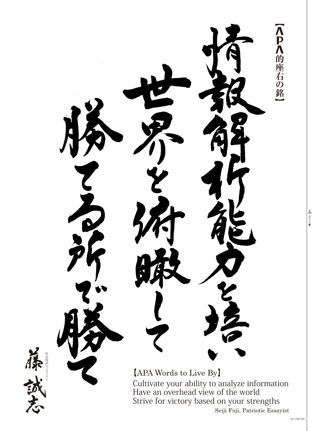Λ<br>Ρ<br>Λ |的座右の銘 セイスト ッ 社会時評エ  $[APA$  Words to Live By Cultivate your ability to analyze information Have an overhead view of the world Strive for victory based on your strengths Seiji Fuji, Patriotic Essayist